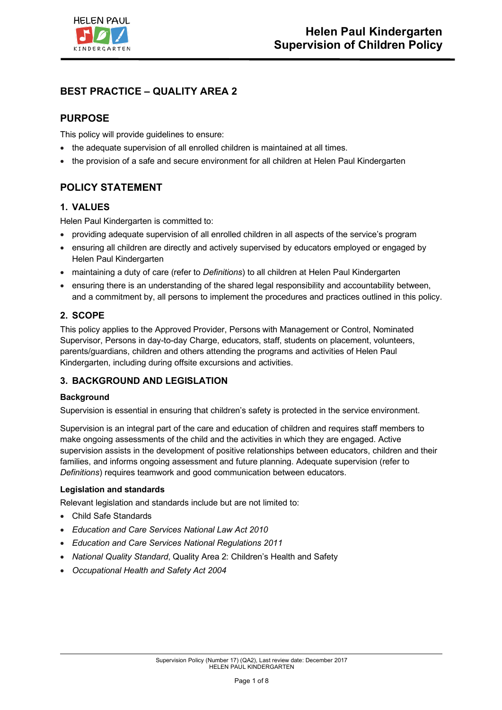

# **BEST PRACTICE – QUALITY AREA 2**

## **PURPOSE**

This policy will provide guidelines to ensure:

- the adequate supervision of all enrolled children is maintained at all times.
- the provision of a safe and secure environment for all children at Helen Paul Kindergarten

# **POLICY STATEMENT**

### **1. VALUES**

Helen Paul Kindergarten is committed to:

- providing adequate supervision of all enrolled children in all aspects of the service's program
- ensuring all children are directly and actively supervised by educators employed or engaged by Helen Paul Kindergarten
- maintaining a duty of care (refer to *Definitions*) to all children at Helen Paul Kindergarten
- ensuring there is an understanding of the shared legal responsibility and accountability between, and a commitment by, all persons to implement the procedures and practices outlined in this policy.

### **2. SCOPE**

This policy applies to the Approved Provider, Persons with Management or Control, Nominated Supervisor, Persons in day-to-day Charge, educators, staff, students on placement, volunteers, parents/guardians, children and others attending the programs and activities of Helen Paul Kindergarten, including during offsite excursions and activities.

## **3. BACKGROUND AND LEGISLATION**

### **Background**

Supervision is essential in ensuring that children's safety is protected in the service environment.

Supervision is an integral part of the care and education of children and requires staff members to make ongoing assessments of the child and the activities in which they are engaged. Active supervision assists in the development of positive relationships between educators, children and their families, and informs ongoing assessment and future planning. Adequate supervision (refer to *Definitions*) requires teamwork and good communication between educators.

### **Legislation and standards**

Relevant legislation and standards include but are not limited to:

- Child Safe Standards
- *Education and Care Services National Law Act 2010*
- *Education and Care Services National Regulations 2011*
- *National Quality Standard*, Quality Area 2: Children's Health and Safety
- *Occupational Health and Safety Act 2004*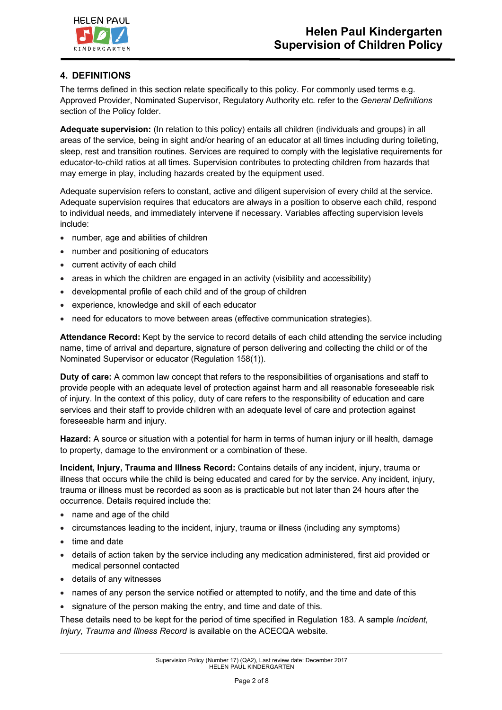## **4. DEFINITIONS**

The terms defined in this section relate specifically to this policy. For commonly used terms e.g. Approved Provider, Nominated Supervisor, Regulatory Authority etc. refer to the *General Definitions* section of the Policy folder.

**Adequate supervision:** (In relation to this policy) entails all children (individuals and groups) in all areas of the service, being in sight and/or hearing of an educator at all times including during toileting, sleep, rest and transition routines. Services are required to comply with the legislative requirements for educator-to-child ratios at all times. Supervision contributes to protecting children from hazards that may emerge in play, including hazards created by the equipment used.

Adequate supervision refers to constant, active and diligent supervision of every child at the service. Adequate supervision requires that educators are always in a position to observe each child, respond to individual needs, and immediately intervene if necessary. Variables affecting supervision levels include:

- number, age and abilities of children
- number and positioning of educators
- current activity of each child
- areas in which the children are engaged in an activity (visibility and accessibility)
- developmental profile of each child and of the group of children
- experience, knowledge and skill of each educator
- need for educators to move between areas (effective communication strategies).

**Attendance Record:** Kept by the service to record details of each child attending the service including name, time of arrival and departure, signature of person delivering and collecting the child or of the Nominated Supervisor or educator (Regulation 158(1)).

**Duty of care:** A common law concept that refers to the responsibilities of organisations and staff to provide people with an adequate level of protection against harm and all reasonable foreseeable risk of injury. In the context of this policy, duty of care refers to the responsibility of education and care services and their staff to provide children with an adequate level of care and protection against foreseeable harm and injury.

**Hazard:** A source or situation with a potential for harm in terms of human injury or ill health, damage to property, damage to the environment or a combination of these.

**Incident, Injury, Trauma and Illness Record:** Contains details of any incident, injury, trauma or illness that occurs while the child is being educated and cared for by the service. Any incident, injury, trauma or illness must be recorded as soon as is practicable but not later than 24 hours after the occurrence. Details required include the:

- name and age of the child
- circumstances leading to the incident, injury, trauma or illness (including any symptoms)
- time and date
- details of action taken by the service including any medication administered, first aid provided or medical personnel contacted
- details of any witnesses
- names of any person the service notified or attempted to notify, and the time and date of this
- signature of the person making the entry, and time and date of this.

These details need to be kept for the period of time specified in Regulation 183. A sample *Incident, Injury, Trauma and Illness Record* is available on the ACECQA website.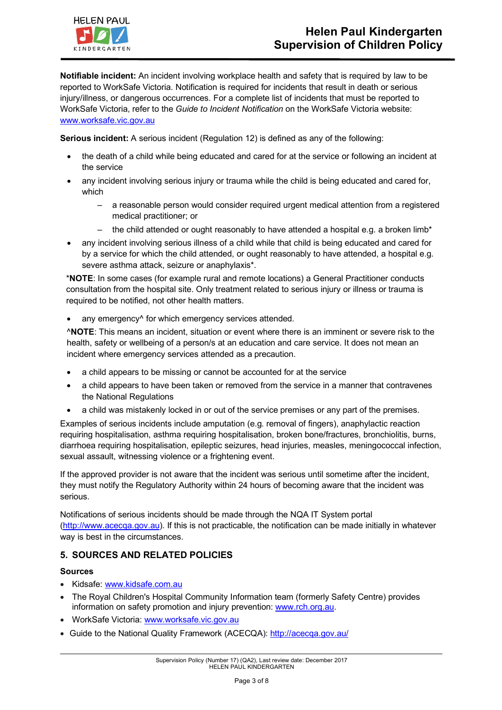

**Notifiable incident:** An incident involving workplace health and safety that is required by law to be reported to WorkSafe Victoria. Notification is required for incidents that result in death or serious injury/illness, or dangerous occurrences. For a complete list of incidents that must be reported to WorkSafe Victoria, refer to the *Guide to Incident Notification* on the WorkSafe Victoria website: www.worksafe.vic.gov.au

**Serious incident:** A serious incident (Regulation 12) is defined as any of the following:

- the death of a child while being educated and cared for at the service or following an incident at the service
- any incident involving serious injury or trauma while the child is being educated and cared for, which
	- a reasonable person would consider required urgent medical attention from a registered medical practitioner; or
	- the child attended or ought reasonably to have attended a hospital e.g. a broken limb\*
- any incident involving serious illness of a child while that child is being educated and cared for by a service for which the child attended, or ought reasonably to have attended, a hospital e.g. severe asthma attack, seizure or anaphylaxis\*.

\***NOTE**: In some cases (for example rural and remote locations) a General Practitioner conducts consultation from the hospital site. Only treatment related to serious injury or illness or trauma is required to be notified, not other health matters.

any emergency<sup>^</sup> for which emergency services attended.

^**NOTE**: This means an incident, situation or event where there is an imminent or severe risk to the health, safety or wellbeing of a person/s at an education and care service. It does not mean an incident where emergency services attended as a precaution.

- a child appears to be missing or cannot be accounted for at the service
- a child appears to have been taken or removed from the service in a manner that contravenes the National Regulations
- a child was mistakenly locked in or out of the service premises or any part of the premises.

Examples of serious incidents include amputation (e.g. removal of fingers), anaphylactic reaction requiring hospitalisation, asthma requiring hospitalisation, broken bone/fractures, bronchiolitis, burns, diarrhoea requiring hospitalisation, epileptic seizures, head injuries, measles, meningococcal infection, sexual assault, witnessing violence or a frightening event.

If the approved provider is not aware that the incident was serious until sometime after the incident, they must notify the Regulatory Authority within 24 hours of becoming aware that the incident was serious.

Notifications of serious incidents should be made through the NQA IT System portal (http://www.acecqa.gov.au). If this is not practicable, the notification can be made initially in whatever way is best in the circumstances.

### **5. SOURCES AND RELATED POLICIES**

### **Sources**

- Kidsafe: www.kidsafe.com.au
- The Royal Children's Hospital Community Information team (formerly Safety Centre) provides information on safety promotion and injury prevention: www.rch.org.au.
- WorkSafe Victoria: www.worksafe.vic.gov.au
- Guide to the National Quality Framework (ACECQA): http://acecqa.gov.au/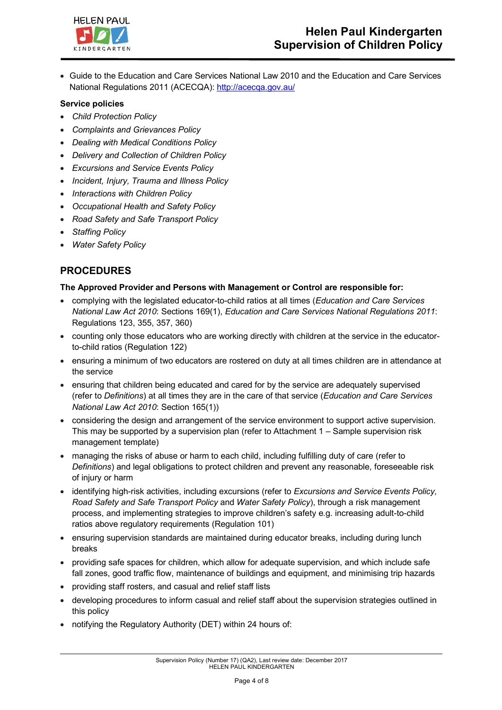

• Guide to the Education and Care Services National Law 2010 and the Education and Care Services National Regulations 2011 (ACECQA): http://acecqa.gov.au/

#### **Service policies**

- *Child Protection Policy*
- *Complaints and Grievances Policy*
- *Dealing with Medical Conditions Policy*
- *Delivery and Collection of Children Policy*
- *Excursions and Service Events Policy*
- *Incident, Injury, Trauma and Illness Policy*
- *Interactions with Children Policy*
- *Occupational Health and Safety Policy*
- *Road Safety and Safe Transport Policy*
- *Staffing Policy*
- *Water Safety Policy*

## **PROCEDURES**

### **The Approved Provider and Persons with Management or Control are responsible for:**

- complying with the legislated educator-to-child ratios at all times (*Education and Care Services National Law Act 2010*: Sections 169(1), *Education and Care Services National Regulations 2011*: Regulations 123, 355, 357, 360)
- counting only those educators who are working directly with children at the service in the educatorto-child ratios (Regulation 122)
- ensuring a minimum of two educators are rostered on duty at all times children are in attendance at the service
- ensuring that children being educated and cared for by the service are adequately supervised (refer to *Definitions*) at all times they are in the care of that service (*Education and Care Services National Law Act 2010*: Section 165(1))
- considering the design and arrangement of the service environment to support active supervision. This may be supported by a supervision plan (refer to Attachment 1 – Sample supervision risk management template)
- managing the risks of abuse or harm to each child, including fulfilling duty of care (refer to *Definitions*) and legal obligations to protect children and prevent any reasonable, foreseeable risk of injury or harm
- identifying high-risk activities, including excursions (refer to *Excursions and Service Events Policy, Road Safety and Safe Transport Policy* and *Water Safety Policy*), through a risk management process, and implementing strategies to improve children's safety e.g. increasing adult-to-child ratios above regulatory requirements (Regulation 101)
- ensuring supervision standards are maintained during educator breaks, including during lunch breaks
- providing safe spaces for children, which allow for adequate supervision, and which include safe fall zones, good traffic flow, maintenance of buildings and equipment, and minimising trip hazards
- providing staff rosters, and casual and relief staff lists
- developing procedures to inform casual and relief staff about the supervision strategies outlined in this policy
- notifying the Regulatory Authority (DET) within 24 hours of: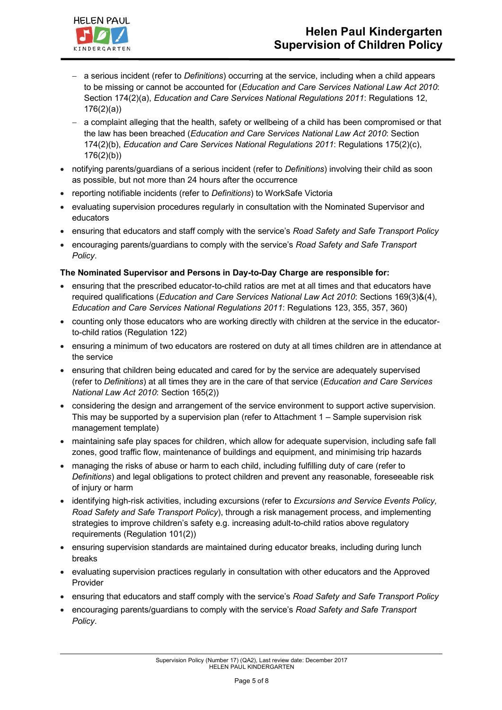

- a serious incident (refer to *Definitions*) occurring at the service, including when a child appears to be missing or cannot be accounted for (*Education and Care Services National Law Act 2010*: Section 174(2)(a), *Education and Care Services National Regulations 2011*: Regulations 12, 176(2)(a))
- a complaint alleging that the health, safety or wellbeing of a child has been compromised or that the law has been breached (*Education and Care Services National Law Act 2010*: Section 174(2)(b), *Education and Care Services National Regulations 2011*: Regulations 175(2)(c), 176(2)(b))
- notifying parents/guardians of a serious incident (refer to *Definitions*) involving their child as soon as possible, but not more than 24 hours after the occurrence
- reporting notifiable incidents (refer to *Definitions*) to WorkSafe Victoria
- evaluating supervision procedures regularly in consultation with the Nominated Supervisor and educators
- ensuring that educators and staff comply with the service's *Road Safety and Safe Transport Policy*
- encouraging parents/guardians to comply with the service's *Road Safety and Safe Transport Policy*.

### **The Nominated Supervisor and Persons in Day-to-Day Charge are responsible for:**

- ensuring that the prescribed educator-to-child ratios are met at all times and that educators have required qualifications (*Education and Care Services National Law Act 2010*: Sections 169(3)&(4), *Education and Care Services National Regulations 2011*: Regulations 123, 355, 357, 360)
- counting only those educators who are working directly with children at the service in the educatorto-child ratios (Regulation 122)
- ensuring a minimum of two educators are rostered on duty at all times children are in attendance at the service
- ensuring that children being educated and cared for by the service are adequately supervised (refer to *Definitions*) at all times they are in the care of that service (*Education and Care Services National Law Act 2010*: Section 165(2))
- considering the design and arrangement of the service environment to support active supervision. This may be supported by a supervision plan (refer to Attachment 1 – Sample supervision risk management template)
- maintaining safe play spaces for children, which allow for adequate supervision, including safe fall zones, good traffic flow, maintenance of buildings and equipment, and minimising trip hazards
- managing the risks of abuse or harm to each child, including fulfilling duty of care (refer to *Definitions*) and legal obligations to protect children and prevent any reasonable, foreseeable risk of injury or harm
- identifying high-risk activities, including excursions (refer to *Excursions and Service Events Policy, Road Safety and Safe Transport Policy*), through a risk management process, and implementing strategies to improve children's safety e.g. increasing adult-to-child ratios above regulatory requirements (Regulation 101(2))
- ensuring supervision standards are maintained during educator breaks, including during lunch breaks
- evaluating supervision practices regularly in consultation with other educators and the Approved Provider
- ensuring that educators and staff comply with the service's *Road Safety and Safe Transport Policy*
- encouraging parents/guardians to comply with the service's *Road Safety and Safe Transport Policy*.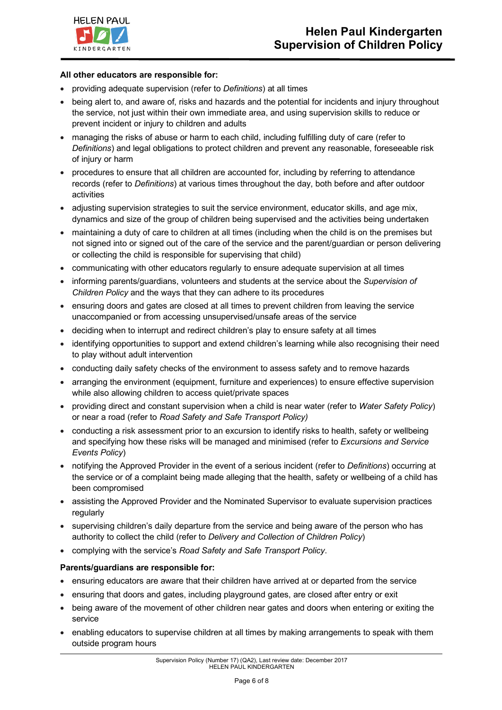

#### **All other educators are responsible for:**

- providing adequate supervision (refer to *Definitions*) at all times
- being alert to, and aware of, risks and hazards and the potential for incidents and injury throughout the service, not just within their own immediate area, and using supervision skills to reduce or prevent incident or injury to children and adults
- managing the risks of abuse or harm to each child, including fulfilling duty of care (refer to *Definitions*) and legal obligations to protect children and prevent any reasonable, foreseeable risk of injury or harm
- procedures to ensure that all children are accounted for, including by referring to attendance records (refer to *Definitions*) at various times throughout the day, both before and after outdoor activities
- adjusting supervision strategies to suit the service environment, educator skills, and age mix, dynamics and size of the group of children being supervised and the activities being undertaken
- maintaining a duty of care to children at all times (including when the child is on the premises but not signed into or signed out of the care of the service and the parent/guardian or person delivering or collecting the child is responsible for supervising that child)
- communicating with other educators regularly to ensure adequate supervision at all times
- informing parents/guardians, volunteers and students at the service about the *Supervision of Children Policy* and the ways that they can adhere to its procedures
- ensuring doors and gates are closed at all times to prevent children from leaving the service unaccompanied or from accessing unsupervised/unsafe areas of the service
- deciding when to interrupt and redirect children's play to ensure safety at all times
- identifying opportunities to support and extend children's learning while also recognising their need to play without adult intervention
- conducting daily safety checks of the environment to assess safety and to remove hazards
- arranging the environment (equipment, furniture and experiences) to ensure effective supervision while also allowing children to access quiet/private spaces
- providing direct and constant supervision when a child is near water (refer to *Water Safety Policy*) or near a road (refer to *Road Safety and Safe Transport Policy)*
- conducting a risk assessment prior to an excursion to identify risks to health, safety or wellbeing and specifying how these risks will be managed and minimised (refer to *Excursions and Service Events Policy*)
- notifying the Approved Provider in the event of a serious incident (refer to *Definitions*) occurring at the service or of a complaint being made alleging that the health, safety or wellbeing of a child has been compromised
- assisting the Approved Provider and the Nominated Supervisor to evaluate supervision practices regularly
- supervising children's daily departure from the service and being aware of the person who has authority to collect the child (refer to *Delivery and Collection of Children Policy*)
- complying with the service's *Road Safety and Safe Transport Policy*.

### **Parents/guardians are responsible for:**

- ensuring educators are aware that their children have arrived at or departed from the service
- ensuring that doors and gates, including playground gates, are closed after entry or exit
- being aware of the movement of other children near gates and doors when entering or exiting the service
- enabling educators to supervise children at all times by making arrangements to speak with them outside program hours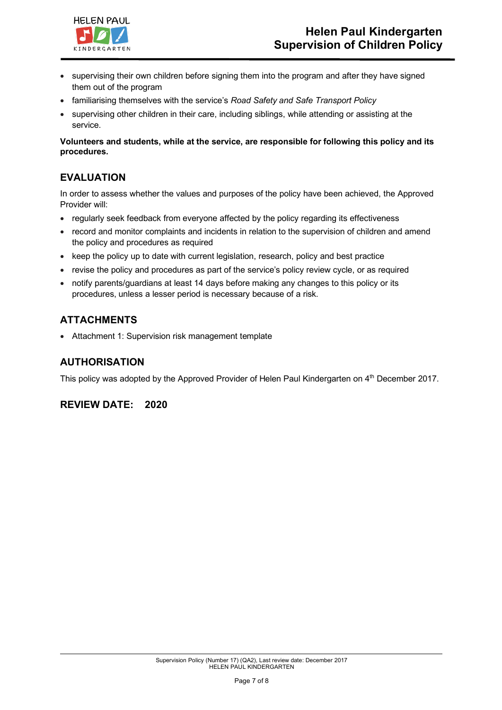

- supervising their own children before signing them into the program and after they have signed them out of the program
- familiarising themselves with the service's *Road Safety and Safe Transport Policy*
- supervising other children in their care, including siblings, while attending or assisting at the service.

### **Volunteers and students, while at the service, are responsible for following this policy and its procedures.**

## **EVALUATION**

In order to assess whether the values and purposes of the policy have been achieved, the Approved Provider will:

- regularly seek feedback from everyone affected by the policy regarding its effectiveness
- record and monitor complaints and incidents in relation to the supervision of children and amend the policy and procedures as required
- keep the policy up to date with current legislation, research, policy and best practice
- revise the policy and procedures as part of the service's policy review cycle, or as required
- notify parents/guardians at least 14 days before making any changes to this policy or its procedures, unless a lesser period is necessary because of a risk.

## **ATTACHMENTS**

• Attachment 1: Supervision risk management template

## **AUTHORISATION**

This policy was adopted by the Approved Provider of Helen Paul Kindergarten on 4<sup>th</sup> December 2017.

## **REVIEW DATE: 2020**